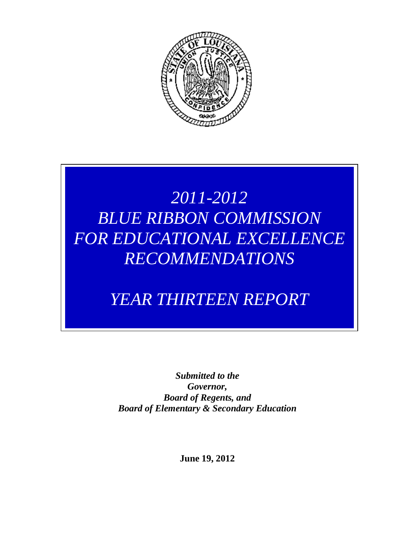

# *2011-2012 BLUE RIBBON COMMISSION FOR EDUCATIONAL EXCELLENCE RECOMMENDATIONS*

# *YEAR THIRTEEN REPORT*

*Submitted to the Governor, Board of Regents, and Board of Elementary & Secondary Education*

**June 19, 2012**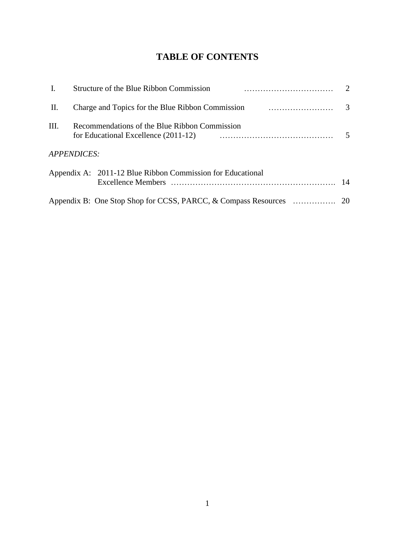## **TABLE OF CONTENTS**

| $\mathbf{I}$       |                                               | Structure of the Blue Ribbon Commission                                        | $\overline{2}$ |  |  |
|--------------------|-----------------------------------------------|--------------------------------------------------------------------------------|----------------|--|--|
| Ш.                 |                                               | Charge and Topics for the Blue Ribbon Commission <i>manufacture commission</i> | $\overline{3}$ |  |  |
| Ш.                 | Recommendations of the Blue Ribbon Commission |                                                                                |                |  |  |
| <b>APPENDICES:</b> |                                               |                                                                                |                |  |  |
|                    |                                               | Appendix A: 2011-12 Blue Ribbon Commission for Educational                     | 14             |  |  |
|                    |                                               |                                                                                |                |  |  |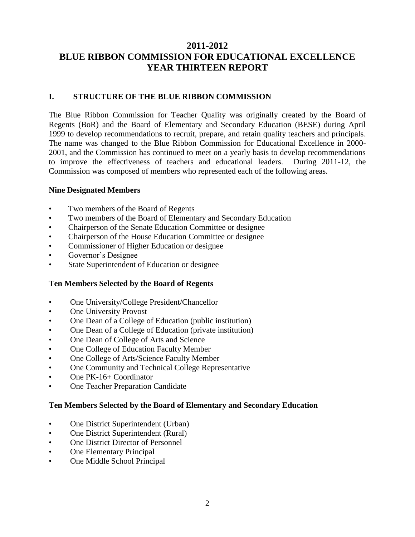## **2011-2012 BLUE RIBBON COMMISSION FOR EDUCATIONAL EXCELLENCE YEAR THIRTEEN REPORT**

## **I. STRUCTURE OF THE BLUE RIBBON COMMISSION**

The Blue Ribbon Commission for Teacher Quality was originally created by the Board of Regents (BoR) and the Board of Elementary and Secondary Education (BESE) during April 1999 to develop recommendations to recruit, prepare, and retain quality teachers and principals. The name was changed to the Blue Ribbon Commission for Educational Excellence in 2000- 2001, and the Commission has continued to meet on a yearly basis to develop recommendations to improve the effectiveness of teachers and educational leaders. During 2011-12, the Commission was composed of members who represented each of the following areas.

### **Nine Designated Members**

- Two members of the Board of Regents
- Two members of the Board of Elementary and Secondary Education
- Chairperson of the Senate Education Committee or designee
- Chairperson of the House Education Committee or designee
- Commissioner of Higher Education or designee
- Governor's Designee
- State Superintendent of Education or designee

### **Ten Members Selected by the Board of Regents**

- One University/College President/Chancellor
- One University Provost
- One Dean of a College of Education (public institution)
- One Dean of a College of Education (private institution)
- One Dean of College of Arts and Science
- One College of Education Faculty Member
- One College of Arts/Science Faculty Member
- One Community and Technical College Representative
- One PK-16+ Coordinator
- One Teacher Preparation Candidate

### **Ten Members Selected by the Board of Elementary and Secondary Education**

- One District Superintendent (Urban)
- One District Superintendent (Rural)
- One District Director of Personnel
- **One Elementary Principal**
- One Middle School Principal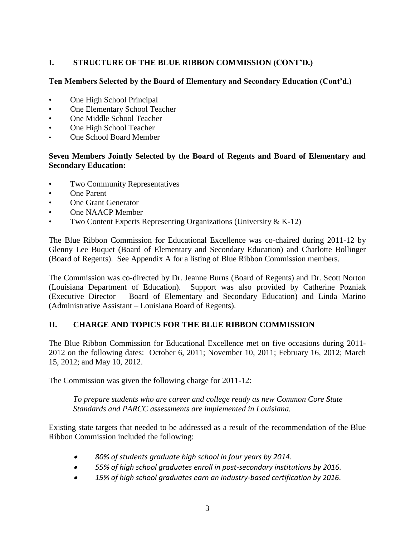## **I. STRUCTURE OF THE BLUE RIBBON COMMISSION (CONT'D.)**

## **Ten Members Selected by the Board of Elementary and Secondary Education (Cont'd.)**

- One High School Principal
- One Elementary School Teacher
- One Middle School Teacher
- One High School Teacher
- One School Board Member

## **Seven Members Jointly Selected by the Board of Regents and Board of Elementary and Secondary Education:**

- Two Community Representatives
- One Parent
- One Grant Generator
- One NAACP Member
- Two Content Experts Representing Organizations (University & K-12)

The Blue Ribbon Commission for Educational Excellence was co-chaired during 2011-12 by Glenny Lee Buquet (Board of Elementary and Secondary Education) and Charlotte Bollinger (Board of Regents). See Appendix A for a listing of Blue Ribbon Commission members.

The Commission was co-directed by Dr. Jeanne Burns (Board of Regents) and Dr. Scott Norton (Louisiana Department of Education). Support was also provided by Catherine Pozniak (Executive Director – Board of Elementary and Secondary Education) and Linda Marino (Administrative Assistant – Louisiana Board of Regents).

## **II. CHARGE AND TOPICS FOR THE BLUE RIBBON COMMISSION**

The Blue Ribbon Commission for Educational Excellence met on five occasions during 2011- 2012 on the following dates: October 6, 2011; November 10, 2011; February 16, 2012; March 15, 2012; and May 10, 2012.

The Commission was given the following charge for 2011-12:

*To prepare students who are career and college ready as new Common Core State Standards and PARCC assessments are implemented in Louisiana.*

Existing state targets that needed to be addressed as a result of the recommendation of the Blue Ribbon Commission included the following:

- *80% of students graduate high school in four years by 2014.*
- *55% of high school graduates enroll in post-secondary institutions by 2016.*
- *15% of high school graduates earn an industry-based certification by 2016.*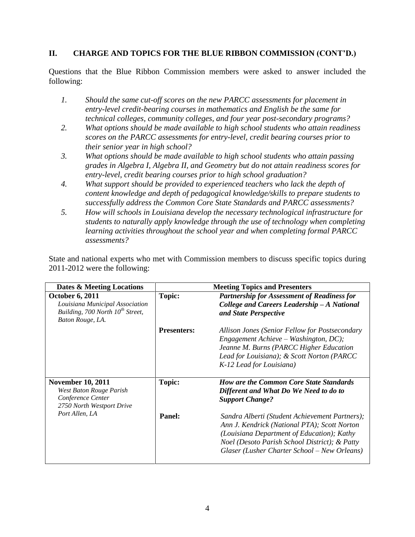## **II. CHARGE AND TOPICS FOR THE BLUE RIBBON COMMISSION (CONT'D.)**

Questions that the Blue Ribbon Commission members were asked to answer included the following:

- *1. Should the same cut-off scores on the new PARCC assessments for placement in entry-level credit-bearing courses in mathematics and English be the same for technical colleges, community colleges, and four year post-secondary programs?*
- *2. What options should be made available to high school students who attain readiness scores on the PARCC assessments for entry-level, credit bearing courses prior to their senior year in high school?*
- *3. What options should be made available to high school students who attain passing grades in Algebra I, Algebra II, and Geometry but do not attain readiness scores for entry-level, credit bearing courses prior to high school graduation?*
- *4. What support should be provided to experienced teachers who lack the depth of content knowledge and depth of pedagogical knowledge/skills to prepare students to successfully address the Common Core State Standards and PARCC assessments?*
- *5. How will schools in Louisiana develop the necessary technological infrastructure for students to naturally apply knowledge through the use of technology when completing learning activities throughout the school year and when completing formal PARCC assessments?*

State and national experts who met with Commission members to discuss specific topics during 2011-2012 were the following:

| Dates & Meeting Locations                                                                                                     | <b>Meeting Topics and Presenters</b> |                                                                                                                                                                                                                                               |
|-------------------------------------------------------------------------------------------------------------------------------|--------------------------------------|-----------------------------------------------------------------------------------------------------------------------------------------------------------------------------------------------------------------------------------------------|
| <b>October 6, 2011</b><br>Louisiana Municipal Association<br>Building, 700 North 10 <sup>th</sup> Street,<br>Baton Rouge, LA. | <b>Topic:</b>                        | <b>Partnership for Assessment of Readiness for</b><br>College and Careers Leadership - A National<br>and State Perspective                                                                                                                    |
|                                                                                                                               | <b>Presenters:</b>                   | Allison Jones (Senior Fellow for Postsecondary<br>Engagement Achieve – Washington, DC);<br>Jeanne M. Burns (PARCC Higher Education<br>Lead for Louisiana); & Scott Norton (PARCC<br>K-12 Lead for Louisiana)                                  |
| <b>November 10, 2011</b><br>West Baton Rouge Parish<br>Conference Center<br>2750 North Westport Drive                         | <b>Topic:</b>                        | <b>How are the Common Core State Standards</b><br>Different and What Do We Need to do to<br><b>Support Change?</b>                                                                                                                            |
| Port Allen, LA                                                                                                                | <b>Panel:</b>                        | Sandra Alberti (Student Achievement Partners);<br>Ann J. Kendrick (National PTA); Scott Norton<br>(Louisiana Department of Education); Kathy<br>Noel (Desoto Parish School District); & Patty<br>Glaser (Lusher Charter School – New Orleans) |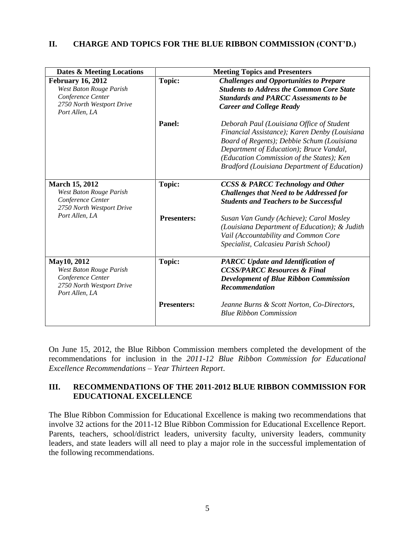## **II. CHARGE AND TOPICS FOR THE BLUE RIBBON COMMISSION (CONT'D.)**

| Dates & Meeting Locations                                                                                               |                    | <b>Meeting Topics and Presenters</b>                                                                                                                                                                                                                                                    |  |
|-------------------------------------------------------------------------------------------------------------------------|--------------------|-----------------------------------------------------------------------------------------------------------------------------------------------------------------------------------------------------------------------------------------------------------------------------------------|--|
| <b>February 16, 2012</b><br>West Baton Rouge Parish<br>Conference Center<br>2750 North Westport Drive<br>Port Allen, LA | Topic:             | <b>Challenges and Opportunities to Prepare</b><br><b>Students to Address the Common Core State</b><br><b>Standards and PARCC Assessments to be</b><br><b>Career and College Ready</b>                                                                                                   |  |
|                                                                                                                         | Panel:             | Deborah Paul (Louisiana Office of Student<br>Financial Assistance); Karen Denby (Louisiana<br>Board of Regents); Debbie Schum (Louisiana<br>Department of Education); Bruce Vandal,<br>(Education Commission of the States); Ken<br><b>Bradford (Louisiana Department of Education)</b> |  |
| <b>March 15, 2012</b><br>West Baton Rouge Parish<br>Conference Center<br>2750 North Westport Drive                      | Topic:             | <b>CCSS &amp; PARCC Technology and Other</b><br><b>Challenges that Need to be Addressed for</b><br><b>Students and Teachers to be Successful</b>                                                                                                                                        |  |
| Port Allen, LA                                                                                                          | <b>Presenters:</b> | Susan Van Gundy (Achieve); Carol Mosley<br>(Louisiana Department of Education); & Judith<br>Vail (Accountability and Common Core<br>Specialist, Calcasieu Parish School)                                                                                                                |  |
| May10, 2012<br>West Baton Rouge Parish<br>Conference Center<br>2750 North Westport Drive<br>Port Allen, LA              | <b>Topic:</b>      | <b>PARCC Update and Identification of</b><br><b>CCSS/PARCC Resources &amp; Final</b><br><b>Development of Blue Ribbon Commission</b><br><b>Recommendation</b>                                                                                                                           |  |
|                                                                                                                         | <b>Presenters:</b> | Jeanne Burns & Scott Norton, Co-Directors,<br><b>Blue Ribbon Commission</b>                                                                                                                                                                                                             |  |

On June 15, 2012, the Blue Ribbon Commission members completed the development of the recommendations for inclusion in the *2011-12 Blue Ribbon Commission for Educational Excellence Recommendations – Year Thirteen Report*.

## **III. RECOMMENDATIONS OF THE 2011-2012 BLUE RIBBON COMMISSION FOR EDUCATIONAL EXCELLENCE**

The Blue Ribbon Commission for Educational Excellence is making two recommendations that involve 32 actions for the 2011-12 Blue Ribbon Commission for Educational Excellence Report. Parents, teachers, school/district leaders, university faculty, university leaders, community leaders, and state leaders will all need to play a major role in the successful implementation of the following recommendations.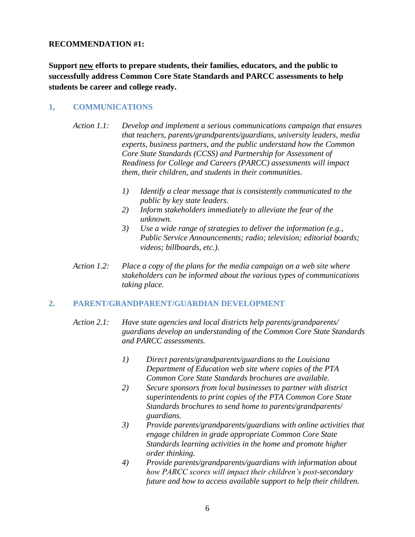### **RECOMMENDATION #1:**

**Support new efforts to prepare students, their families, educators, and the public to successfully address Common Core State Standards and PARCC assessments to help students be career and college ready.**

## **1, COMMUNICATIONS**

- *Action 1.1: Develop and implement a serious communications campaign that ensures that teachers, parents/grandparents/guardians, university leaders, media experts, business partners, and the public understand how the Common Core State Standards (CCSS) and Partnership for Assessment of Readiness for College and Careers (PARCC) assessments will impact them, their children, and students in their communities.*
	- *1) Identify a clear message that is consistently communicated to the public by key state leaders.*
	- *2) Inform stakeholders immediately to alleviate the fear of the unknown.*
	- *3) Use a wide range of strategies to deliver the information (e.g., Public Service Announcements; radio; television; editorial boards; videos; billboards, etc.).*
- *Action 1.2: Place a copy of the plans for the media campaign on a web site where stakeholders can be informed about the various types of communications taking place.*

## **2. PARENT/GRANDPARENT/GUARDIAN DEVELOPMENT**

- *Action 2.1: Have state agencies and local districts help parents/grandparents/ guardians develop an understanding of the Common Core State Standards and PARCC assessments.*
	- *1) Direct parents/grandparents/guardians to the Louisiana Department of Education web site where copies of the PTA Common Core State Standards brochures are available.*
	- *2) Secure sponsors from local businesses to partner with district superintendents to print copies of the PTA Common Core State Standards brochures to send home to parents/grandparents/ guardians.*
	- *3) Provide parents/grandparents/guardians with online activities that engage children in grade appropriate Common Core State Standards learning activities in the home and promote higher order thinking.*
	- *4) Provide parents/grandparents/guardians with information about how PARCC scores will impact their children's post-secondary future and how to access available support to help their children.*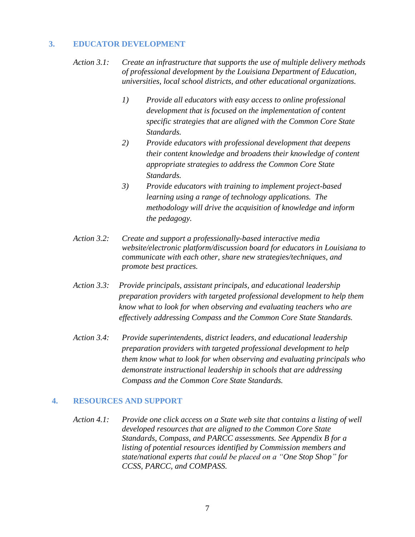### **3. EDUCATOR DEVELOPMENT**

- *Action 3.1: Create an infrastructure that supports the use of multiple delivery methods of professional development by the Louisiana Department of Education, universities, local school districts, and other educational organizations.*
	- *1) Provide all educators with easy access to online professional development that is focused on the implementation of content specific strategies that are aligned with the Common Core State Standards.*
	- *2) Provide educators with professional development that deepens their content knowledge and broadens their knowledge of content appropriate strategies to address the Common Core State Standards.*
	- *3) Provide educators with training to implement project-based learning using a range of technology applications. The methodology will drive the acquisition of knowledge and inform the pedagogy.*
- *Action 3.2: Create and support a professionally-based interactive media website/electronic platform/discussion board for educators in Louisiana to communicate with each other, share new strategies/techniques, and promote best practices.*
- *Action 3.3: Provide principals, assistant principals, and educational leadership preparation providers with targeted professional development to help them know what to look for when observing and evaluating teachers who are effectively addressing Compass and the Common Core State Standards.*
- *Action 3.4: Provide superintendents, district leaders, and educational leadership preparation providers with targeted professional development to help them know what to look for when observing and evaluating principals who demonstrate instructional leadership in schools that are addressing Compass and the Common Core State Standards.*

### **4. RESOURCES AND SUPPORT**

*Action 4.1: Provide one click access on a State web site that contains a listing of well developed resources that are aligned to the Common Core State Standards, Compass, and PARCC assessments. See Appendix B for a listing of potential resources identified by Commission members and state/national experts that could be placed on a "One Stop Shop" for CCSS, PARCC, and COMPASS.*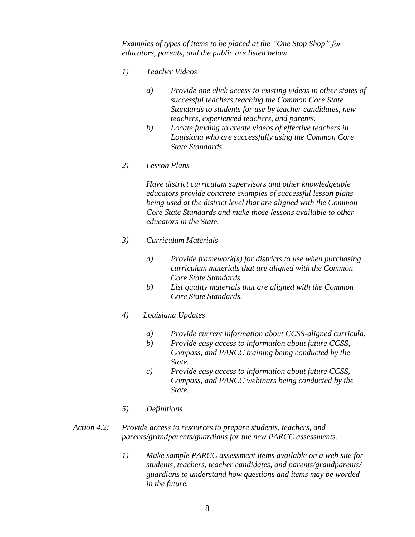*Examples of types of items to be placed at the "One Stop Shop" for educators, parents, and the public are listed below.*

- *1) Teacher Videos*
	- *a) Provide one click access to existing videos in other states of successful teachers teaching the Common Core State Standards to students for use by teacher candidates, new teachers, experienced teachers, and parents.*
	- *b) Locate funding to create videos of effective teachers in Louisiana who are successfully using the Common Core State Standards.*
- *2) Lesson Plans*

*Have district curriculum supervisors and other knowledgeable educators provide concrete examples of successful lesson plans being used at the district level that are aligned with the Common Core State Standards and make those lessons available to other educators in the State.*

- *3) Curriculum Materials*
	- *a) Provide framework(s) for districts to use when purchasing curriculum materials that are aligned with the Common Core State Standards.*
	- *b) List quality materials that are aligned with the Common Core State Standards.*
- *4) Louisiana Updates*
	- *a) Provide current information about CCSS-aligned curricula.*
	- *b) Provide easy access to information about future CCSS, Compass, and PARCC training being conducted by the State.*
	- *c) Provide easy access to information about future CCSS, Compass, and PARCC webinars being conducted by the State.*
- *5) Definitions*

#### *Action 4.2: Provide access to resources to prepare students, teachers, and parents/grandparents/guardians for the new PARCC assessments.*

*1) Make sample PARCC assessment items available on a web site for students, teachers, teacher candidates, and parents/grandparents/ guardians to understand how questions and items may be worded in the future.*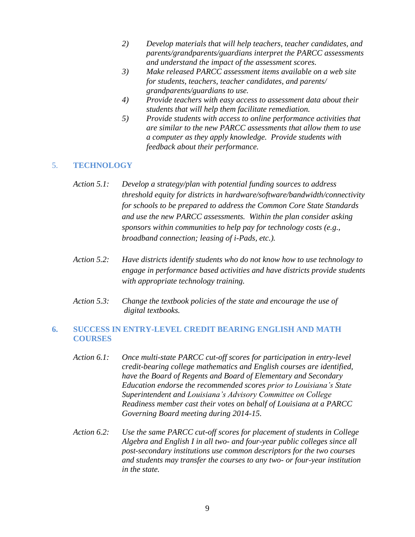- *2) Develop materials that will help teachers, teacher candidates, and parents/grandparents/guardians interpret the PARCC assessments and understand the impact of the assessment scores.*
- *3) Make released PARCC assessment items available on a web site for students, teachers, teacher candidates, and parents/ grandparents/guardians to use.*
- *4) Provide teachers with easy access to assessment data about their students that will help them facilitate remediation.*
- *5) Provide students with access to online performance activities that are similar to the new PARCC assessments that allow them to use a computer as they apply knowledge. Provide students with feedback about their performance.*

### 5. **TECHNOLOGY**

- *Action 5.1: Develop a strategy/plan with potential funding sources to address threshold equity for districts in hardware/software/bandwidth/connectivity for schools to be prepared to address the Common Core State Standards and use the new PARCC assessments. Within the plan consider asking sponsors within communities to help pay for technology costs (e.g., broadband connection; leasing of i-Pads, etc.).*
- *Action 5.2: Have districts identify students who do not know how to use technology to engage in performance based activities and have districts provide students with appropriate technology training.*
- *Action 5.3: Change the textbook policies of the state and encourage the use of digital textbooks.*

## **6. SUCCESS IN ENTRY-LEVEL CREDIT BEARING ENGLISH AND MATH COURSES**

- *Action 6.1: Once multi-state PARCC cut-off scores for participation in entry-level credit-bearing college mathematics and English courses are identified, have the Board of Regents and Board of Elementary and Secondary Education endorse the recommended scores prior to Louisiana's State Superintendent and Louisiana's Advisory Committee on College Readiness member cast their votes on behalf of Louisiana at a PARCC Governing Board meeting during 2014-15.*
- *Action 6.2: Use the same PARCC cut-off scores for placement of students in College Algebra and English I in all two- and four-year public colleges since all post-secondary institutions use common descriptors for the two courses and students may transfer the courses to any two- or four-year institution in the state.*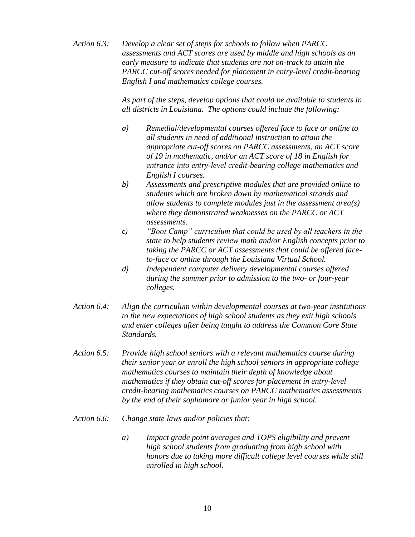*Action 6.3: Develop a clear set of steps for schools to follow when PARCC assessments and ACT scores are used by middle and high schools as an early measure to indicate that students are not on-track to attain the PARCC cut-off scores needed for placement in entry-level credit-bearing English I and mathematics college courses.*

> *As part of the steps, develop options that could be available to students in all districts in Louisiana. The options could include the following:*

- *a) Remedial/developmental courses offered face to face or online to all students in need of additional instruction to attain the appropriate cut-off scores on PARCC assessments, an ACT score of 19 in mathematic, and/or an ACT score of 18 in English for entrance into entry-level credit-bearing college mathematics and English I courses.*
- *b) Assessments and prescriptive modules that are provided online to students which are broken down by mathematical strands and allow students to complete modules just in the assessment area(s) where they demonstrated weaknesses on the PARCC or ACT assessments.*
- *c) "Boot Camp" curriculum that could be used by all teachers in the state to help students review math and/or English concepts prior to taking the PARCC or ACT assessments that could be offered faceto-face or online through the Louisiana Virtual School.*
- *d) Independent computer delivery developmental courses offered during the summer prior to admission to the two- or four-year colleges.*
- *Action 6.4: Align the curriculum within developmental courses at two-year institutions to the new expectations of high school students as they exit high schools and enter colleges after being taught to address the Common Core State Standards.*
- *Action 6.5: Provide high school seniors with a relevant mathematics course during their senior year or enroll the high school seniors in appropriate college mathematics courses to maintain their depth of knowledge about mathematics if they obtain cut-off scores for placement in entry-level credit-bearing mathematics courses on PARCC mathematics assessments by the end of their sophomore or junior year in high school.*
- *Action 6.6: Change state laws and/or policies that:*
	- *a) Impact grade point averages and TOPS eligibility and prevent high school students from graduating from high school with honors due to taking more difficult college level courses while still enrolled in high school.*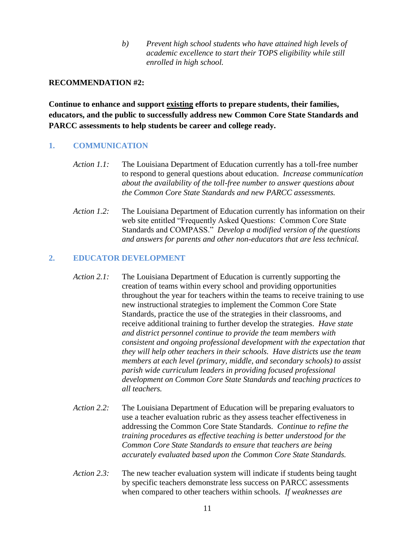*b) Prevent high school students who have attained high levels of academic excellence to start their TOPS eligibility while still enrolled in high school.*

### **RECOMMENDATION #2:**

**Continue to enhance and support existing efforts to prepare students, their families, educators, and the public to successfully address new Common Core State Standards and PARCC assessments to help students be career and college ready.**

## **1. COMMUNICATION**

- *Action 1.1:* The Louisiana Department of Education currently has a toll-free number to respond to general questions about education. *Increase communication about the availability of the toll-free number to answer questions about the Common Core State Standards and new PARCC assessments.*
- *Action 1.2:* The Louisiana Department of Education currently has information on their web site entitled "Frequently Asked Questions: Common Core State Standards and COMPASS." *Develop a modified version of the questions and answers for parents and other non-educators that are less technical.*

## **2. EDUCATOR DEVELOPMENT**

- *Action 2.1:* The Louisiana Department of Education is currently supporting the creation of teams within every school and providing opportunities throughout the year for teachers within the teams to receive training to use new instructional strategies to implement the Common Core State Standards, practice the use of the strategies in their classrooms, and receive additional training to further develop the strategies. *Have state and district personnel continue to provide the team members with consistent and ongoing professional development with the expectation that they will help other teachers in their schools. Have districts use the team members at each level (primary, middle, and secondary schools) to assist parish wide curriculum leaders in providing focused professional development on Common Core State Standards and teaching practices to all teachers.*
- *Action 2.2:* The Louisiana Department of Education will be preparing evaluators to use a teacher evaluation rubric as they assess teacher effectiveness in addressing the Common Core State Standards. *Continue to refine the training procedures as effective teaching is better understood for the Common Core State Standards to ensure that teachers are being accurately evaluated based upon the Common Core State Standards.*
- *Action 2.3:* The new teacher evaluation system will indicate if students being taught by specific teachers demonstrate less success on PARCC assessments when compared to other teachers within schools. *If weaknesses are*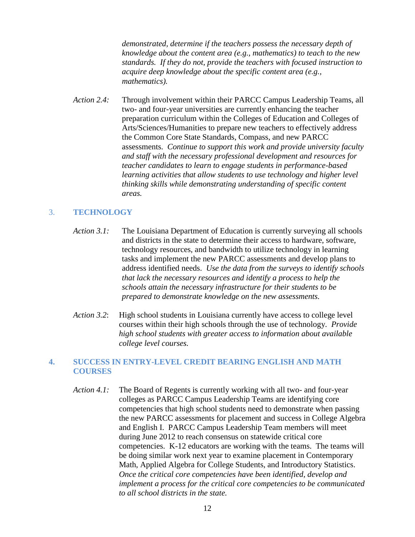*demonstrated, determine if the teachers possess the necessary depth of knowledge about the content area (e.g., mathematics) to teach to the new standards. If they do not, provide the teachers with focused instruction to acquire deep knowledge about the specific content area (e.g., mathematics).* 

*Action 2.4:* Through involvement within their PARCC Campus Leadership Teams, all two- and four-year universities are currently enhancing the teacher preparation curriculum within the Colleges of Education and Colleges of Arts/Sciences/Humanities to prepare new teachers to effectively address the Common Core State Standards, Compass, and new PARCC assessments. *Continue to support this work and provide university faculty and staff with the necessary professional development and resources for teacher candidates to learn to engage students in performance-based learning activities that allow students to use technology and higher level thinking skills while demonstrating understanding of specific content areas.*

### 3. **TECHNOLOGY**

- *Action 3.1:* The Louisiana Department of Education is currently surveying all schools and districts in the state to determine their access to hardware, software, technology resources, and bandwidth to utilize technology in learning tasks and implement the new PARCC assessments and develop plans to address identified needs. *Use the data from the surveys to identify schools that lack the necessary resources and identify a process to help the schools attain the necessary infrastructure for their students to be prepared to demonstrate knowledge on the new assessments.*
- *Action 3.2*: High school students in Louisiana currently have access to college level courses within their high schools through the use of technology. *Provide high school students with greater access to information about available college level courses.*

## **4. SUCCESS IN ENTRY-LEVEL CREDIT BEARING ENGLISH AND MATH COURSES**

*Action 4.1:* The Board of Regents is currently working with all two- and four-year colleges as PARCC Campus Leadership Teams are identifying core competencies that high school students need to demonstrate when passing the new PARCC assessments for placement and success in College Algebra and English I. PARCC Campus Leadership Team members will meet during June 2012 to reach consensus on statewide critical core competencies. K-12 educators are working with the teams. The teams will be doing similar work next year to examine placement in Contemporary Math, Applied Algebra for College Students, and Introductory Statistics. *Once the critical core competencies have been identified, develop and implement a process for the critical core competencies to be communicated to all school districts in the state.*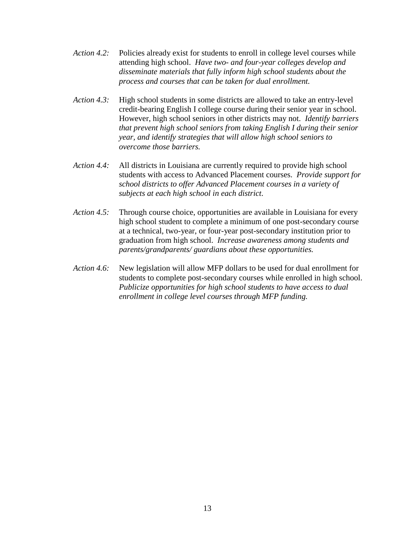- *Action 4.2:* Policies already exist for students to enroll in college level courses while attending high school. *Have two- and four-year colleges develop and disseminate materials that fully inform high school students about the process and courses that can be taken for dual enrollment.*
- *Action 4.3:* High school students in some districts are allowed to take an entry-level credit-bearing English I college course during their senior year in school. However, high school seniors in other districts may not. *Identify barriers that prevent high school seniors from taking English I during their senior year, and identify strategies that will allow high school seniors to overcome those barriers.*
- *Action 4.4:* All districts in Louisiana are currently required to provide high school students with access to Advanced Placement courses. *Provide support for school districts to offer Advanced Placement courses in a variety of subjects at each high school in each district.*
- *Action 4.5:* Through course choice, opportunities are available in Louisiana for every high school student to complete a minimum of one post-secondary course at a technical, two-year, or four-year post-secondary institution prior to graduation from high school. *Increase awareness among students and parents/grandparents/ guardians about these opportunities.*
- *Action 4.6:* New legislation will allow MFP dollars to be used for dual enrollment for students to complete post-secondary courses while enrolled in high school. *Publicize opportunities for high school students to have access to dual enrollment in college level courses through MFP funding.*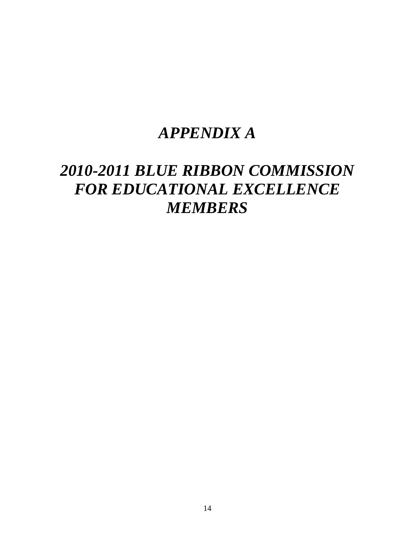## *APPENDIX A*

## *2010-2011 BLUE RIBBON COMMISSION FOR EDUCATIONAL EXCELLENCE MEMBERS*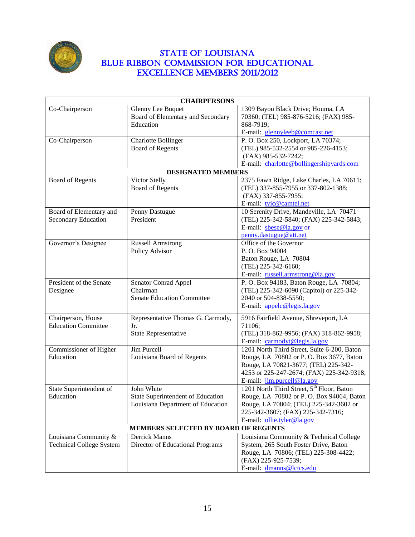

| <b>CHAIRPERSONS</b>             |                                      |                                                                                     |  |
|---------------------------------|--------------------------------------|-------------------------------------------------------------------------------------|--|
| Co-Chairperson                  | Glenny Lee Buquet                    | 1309 Bayou Black Drive; Houma, LA                                                   |  |
|                                 | Board of Elementary and Secondary    | 70360; (TEL) 985-876-5216; (FAX) 985-                                               |  |
|                                 | Education                            | 868-7919;                                                                           |  |
|                                 |                                      | E-mail: glennyleeb@comcast.net                                                      |  |
| Co-Chairperson                  | <b>Charlotte Bollinger</b>           | P. O. Box 250, Lockport, LA 70374;<br>(TEL) 985-532-2554 or 985-226-4153;           |  |
|                                 | <b>Board of Regents</b>              | (FAX) 985-532-7242;                                                                 |  |
|                                 |                                      | E-mail: charlotte@bollingershipyards.com                                            |  |
|                                 | <b>DESIGNATED MEMBERS</b>            |                                                                                     |  |
| <b>Board of Regents</b>         | Victor Stelly                        | 2375 Fawn Ridge, Lake Charles, LA 70611;                                            |  |
|                                 | <b>Board of Regents</b>              | (TEL) 337-855-7955 or 337-802-1388;                                                 |  |
|                                 |                                      | (FAX) 337-855-7955;                                                                 |  |
|                                 |                                      | E-mail: tvic@camtel.net                                                             |  |
| Board of Elementary and         | Penny Dastugue                       | 10 Serenity Drive, Mandeville, LA 70471                                             |  |
| Secondary Education             | President                            | (TEL) 225-342-5840; (FAX) 225-342-5843;                                             |  |
|                                 |                                      | E-mail: sbese@la.gov or                                                             |  |
|                                 |                                      | penny.dastugue@att.net                                                              |  |
| Governor's Designee             | <b>Russell Armstrong</b>             | Office of the Governor                                                              |  |
|                                 | Policy Advisor                       | P.O. Box 94004                                                                      |  |
|                                 |                                      | Baton Rouge, LA 70804                                                               |  |
|                                 |                                      | (TEL) 225-342-6160;                                                                 |  |
|                                 |                                      | E-mail: russell.armstrong@la.gov                                                    |  |
| President of the Senate         | Senator Conrad Appel                 | P. O. Box 94183, Baton Rouge, LA 70804;                                             |  |
| Designee                        | Chairman                             | (TEL) 225-342-6090 (Capitol) or 225-342-                                            |  |
|                                 | <b>Senate Education Committee</b>    | 2040 or 504-838-5550;                                                               |  |
|                                 |                                      | E-mail: appelc@legis.la.gov                                                         |  |
| Chairperson, House              | Representative Thomas G. Carmody,    | 5916 Fairfield Avenue, Shreveport, LA                                               |  |
| <b>Education Committee</b>      | Jr.                                  | 71106:                                                                              |  |
|                                 | <b>State Representative</b>          | (TEL) 318-862-9956; (FAX) 318-862-9958;                                             |  |
|                                 |                                      | E-mail: carmodyt@legis.la.gov                                                       |  |
| Commissioner of Higher          | Jim Purcell                          | 1201 North Third Street, Suite 6-200, Baton                                         |  |
| Education                       | Louisiana Board of Regents           | Rouge, LA 70802 or P. O. Box 3677, Baton                                            |  |
|                                 |                                      | Rouge, LA 70821-3677; (TEL) 225-342-                                                |  |
|                                 |                                      | 4253 or 225-247-2674; (FAX) 225-342-9318;                                           |  |
| State Superintendent of         | John White                           | E-mail: jim.purcell@la.gov<br>1201 North Third Street, 5 <sup>th</sup> Floor, Baton |  |
| Education                       | State Superintendent of Education    | Rouge, LA 70802 or P. O. Box 94064, Baton                                           |  |
|                                 | Louisiana Department of Education    | Rouge, LA 70804; (TEL) 225-342-3602 or                                              |  |
|                                 |                                      | 225-342-3607; (FAX) 225-342-7316;                                                   |  |
|                                 |                                      | E-mail: ollie.tyler@la.gov                                                          |  |
|                                 | MEMBERS SELECTED BY BOARD OF REGENTS |                                                                                     |  |
| Louisiana Community &           | Derrick Manns                        | Louisiana Community & Technical College                                             |  |
| <b>Technical College System</b> | Director of Educational Programs     | System, 265 South Foster Drive, Baton                                               |  |
|                                 |                                      | Rouge, LA 70806; (TEL) 225-308-4422;                                                |  |
|                                 |                                      | (FAX) 225-925-7539;                                                                 |  |
|                                 |                                      | E-mail: dmanns@lctcs.edu                                                            |  |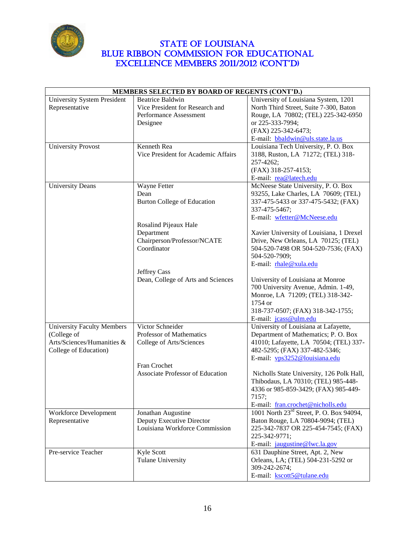

| MEMBERS SELECTED BY BOARD OF REGENTS (CONT'D.) |                                         |                                                                |  |
|------------------------------------------------|-----------------------------------------|----------------------------------------------------------------|--|
| <b>University System President</b>             | <b>Beatrice Baldwin</b>                 | University of Louisiana System, 1201                           |  |
| Representative                                 | Vice President for Research and         | North Third Street, Suite 7-300, Baton                         |  |
|                                                | Performance Assessment                  | Rouge, LA 70802; (TEL) 225-342-6950                            |  |
|                                                | Designee                                | or 225-333-7994;                                               |  |
|                                                |                                         | (FAX) 225-342-6473;                                            |  |
|                                                |                                         | E-mail: bbaldwin@uls.state.la.us                               |  |
| <b>University Provost</b>                      | Kenneth Rea                             | Louisiana Tech University, P. O. Box                           |  |
|                                                | Vice President for Academic Affairs     | 3188, Ruston, LA 71272; (TEL) 318-                             |  |
|                                                |                                         | 257-4262;                                                      |  |
|                                                |                                         | (FAX) 318-257-4153;                                            |  |
|                                                |                                         | E-mail: rea@latech.edu                                         |  |
| <b>University Deans</b>                        | Wayne Fetter                            | McNeese State University, P. O. Box                            |  |
|                                                | Dean                                    | 93255, Lake Charles, LA 70609; (TEL)                           |  |
|                                                | <b>Burton College of Education</b>      | 337-475-5433 or 337-475-5432; (FAX)                            |  |
|                                                |                                         | 337-475-5467;                                                  |  |
|                                                |                                         | E-mail: wfetter@McNeese.edu                                    |  |
|                                                | Rosalind Pijeaux Hale                   |                                                                |  |
|                                                | Department                              | Xavier University of Louisiana, 1 Drexel                       |  |
|                                                | Chairperson/Professor/NCATE             | Drive, New Orleans, LA 70125; (TEL)                            |  |
|                                                | Coordinator                             | 504-520-7498 OR 504-520-7536; (FAX)                            |  |
|                                                |                                         | 504-520-7909;                                                  |  |
|                                                |                                         | E-mail: rhale@xula.edu                                         |  |
|                                                | <b>Jeffrey Cass</b>                     |                                                                |  |
|                                                | Dean, College of Arts and Sciences      | University of Louisiana at Monroe                              |  |
|                                                |                                         | 700 University Avenue, Admin. 1-49,                            |  |
|                                                |                                         | Monroe, LA 71209; (TEL) 318-342-                               |  |
|                                                |                                         | 1754 or                                                        |  |
|                                                |                                         | 318-737-0507; (FAX) 318-342-1755;                              |  |
|                                                |                                         |                                                                |  |
| <b>University Faculty Members</b>              | Victor Schneider                        | E-mail: jcass@ulm.edu<br>University of Louisiana at Lafayette, |  |
|                                                | Professor of Mathematics                | Department of Mathematics; P. O. Box                           |  |
| (College of<br>Arts/Sciences/Humanities &      |                                         |                                                                |  |
|                                                | College of Arts/Sciences                | 41010; Lafayette, LA 70504; (TEL) 337-                         |  |
| College of Education)                          |                                         | 482-5295; (FAX) 337-482-5346;                                  |  |
|                                                |                                         | E-mail: vps3252@louisiana.edu                                  |  |
|                                                | Fran Crochet                            |                                                                |  |
|                                                | <b>Associate Professor of Education</b> | Nicholls State University, 126 Polk Hall,                      |  |
|                                                |                                         | Thibodaus, LA 70310; (TEL) 985-448-                            |  |
|                                                |                                         | 4336 or 985-859-3429; (FAX) 985-449-                           |  |
|                                                |                                         | 7157;                                                          |  |
|                                                |                                         | E-mail: fran.crochet@nicholls.edu                              |  |
| Workforce Development                          | Jonathan Augustine                      | 1001 North 23 <sup>rd</sup> Street, P. O. Box 94094,           |  |
| Representative                                 | Deputy Executive Director               | Baton Rouge, LA 70804-9094; (TEL)                              |  |
|                                                | Louisiana Workforce Commission          | 225-342-7837 OR 225-454-7545; (FAX)                            |  |
|                                                |                                         | 225-342-9771;                                                  |  |
|                                                |                                         | E-mail: jaugustine@lwc.la.gov                                  |  |
| Pre-service Teacher                            | <b>Kyle Scott</b>                       | 631 Dauphine Street, Apt. 2, New                               |  |
|                                                | <b>Tulane University</b>                | Orleans, LA; (TEL) 504-231-5292 or                             |  |
|                                                |                                         | 309-242-2674;                                                  |  |
|                                                |                                         | E-mail: kscott5@tulane.edu                                     |  |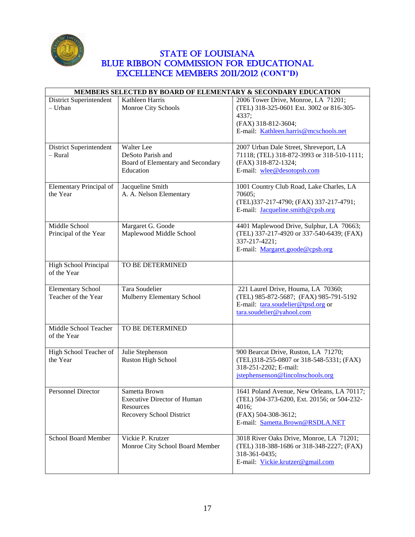

| MEMBERS SELECTED BY BOARD OF ELEMENTARY & SECONDARY EDUCATION |                                                                                              |                                                                                                                                                              |  |
|---------------------------------------------------------------|----------------------------------------------------------------------------------------------|--------------------------------------------------------------------------------------------------------------------------------------------------------------|--|
| District Superintendent<br>- Urban                            | Kathleen Harris<br>Monroe City Schools                                                       | 2006 Tower Drive, Monroe, LA 71201;<br>(TEL) 318-325-0601 Ext. 3002 or 816-305-<br>4337;<br>(FAX) 318-812-3604;<br>E-mail: Kathleen.harris@mcschools.net     |  |
| District Superintendent<br>- Rural                            | Walter Lee<br>DeSoto Parish and<br>Board of Elementary and Secondary<br>Education            | 2007 Urban Dale Street, Shreveport, LA<br>71118; (TEL) 318-872-3993 or 318-510-1111;<br>(FAX) 318-872-1324;<br>E-mail: wlee@desotopsb.com                    |  |
| Elementary Principal of<br>the Year                           | Jacqueline Smith<br>A. A. Nelson Elementary                                                  | 1001 Country Club Road, Lake Charles, LA<br>70605;<br>(TEL)337-217-4790; (FAX) 337-217-4791;<br>E-mail: Jacqueline.smith@cpsb.org                            |  |
| Middle School<br>Principal of the Year                        | Margaret G. Goode<br>Maplewood Middle School                                                 | 4401 Maplewood Drive, Sulphur, LA 70663;<br>(TEL) 337-217-4920 or 337-540-6439; (FAX)<br>337-217-4221;<br>E-mail: Margaret.goode@cpsb.org                    |  |
| <b>High School Principal</b><br>of the Year                   | TO BE DETERMINED                                                                             |                                                                                                                                                              |  |
| <b>Elementary School</b><br>Teacher of the Year               | Tara Soudelier<br>Mulberry Elementary School                                                 | 221 Laurel Drive, Houma, LA 70360;<br>(TEL) 985-872-5687; (FAX) 985-791-5192<br>E-mail: tara.soudelier@tpsd.org or<br>tara.soudelier@yahool.com              |  |
| Middle School Teacher<br>of the Year                          | TO BE DETERMINED                                                                             |                                                                                                                                                              |  |
| High School Teacher of<br>the Year                            | Julie Stephenson<br>Ruston High School                                                       | 900 Bearcat Drive, Ruston, LA 71270;<br>(TEL)318-255-0807 or 318-548-5331; (FAX)<br>318-251-2202; E-mail:<br>jstephensenson@lincolnschools.org               |  |
| Personnel Director                                            | Sametta Brown<br><b>Executive Director of Human</b><br>Resources<br>Recovery School District | 1641 Poland Avenue, New Orleans, LA 70117;<br>(TEL) 504-373-6200, Ext. 20156; or 504-232-<br>4016:<br>(FAX) 504-308-3612;<br>E-mail: Sametta.Brown@RSDLA.NET |  |
| <b>School Board Member</b>                                    | Vickie P. Krutzer<br>Monroe City School Board Member                                         | 3018 River Oaks Drive, Monroe, LA 71201;<br>(TEL) 318-388-1686 or 318-348-2227; (FAX)<br>318-361-0435;<br>E-mail: Vickie.krutzer@gmail.com                   |  |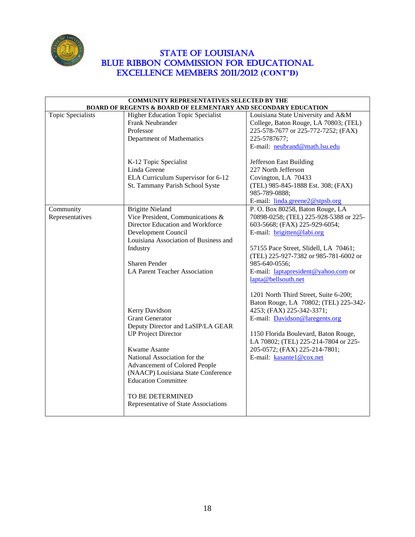

| <b>COMMUNITY REPRESENTATIVES SELECTED BY THE</b><br><b>BOARD OF REGENTS &amp; BOARD OF ELEMENTARY AND SECONDARY EDUCATION</b> |                                                                                                                                                                                                                                                                                                                              |                                                                                                                                                                                                                                                                                                                  |  |
|-------------------------------------------------------------------------------------------------------------------------------|------------------------------------------------------------------------------------------------------------------------------------------------------------------------------------------------------------------------------------------------------------------------------------------------------------------------------|------------------------------------------------------------------------------------------------------------------------------------------------------------------------------------------------------------------------------------------------------------------------------------------------------------------|--|
| <b>Topic Specialists</b>                                                                                                      | <b>Higher Education Topic Specialist</b><br>Frank Neubrander<br>Professor<br>Department of Mathematics                                                                                                                                                                                                                       | Louisiana State University and A&M<br>College, Baton Rouge, LA 70803; (TEL)<br>225-578-7677 or 225-772-7252; (FAX)<br>225-5787677;<br>E-mail: neubrand@math.lsu.edu                                                                                                                                              |  |
|                                                                                                                               | K-12 Topic Specialist<br>Linda Greene<br>ELA Curriculum Supervisor for 6-12<br>St. Tammany Parish School Syste                                                                                                                                                                                                               | Jefferson East Building<br>227 North Jefferson<br>Covington, LA 70433<br>(TEL) 985-845-1888 Est. 308; (FAX)<br>985-789-0888;<br>E-mail: linda.greene2@stpsb.org                                                                                                                                                  |  |
| Community<br>Representatives                                                                                                  | <b>Brigitte Nieland</b><br>Vice President, Communications &<br>Director Education and Workforce<br>Development Council<br>Louisiana Association of Business and<br>Industry<br><b>Sharen Pender</b><br><b>LA Parent Teacher Association</b>                                                                                  | P.O. Box 80258, Baton Rouge, LA<br>70898-0258; (TEL) 225-928-5388 or 225-<br>603-5668; (FAX) 225-929-6054;<br>E-mail: brigitten@labi.org<br>57155 Pace Street, Slidell, LA 70461;<br>(TEL) 225-927-7382 or 985-781-6002 or<br>985-640-0556;<br>E-mail: <i>laptapresident@yahoo.com</i> or<br>lapta@bellsouth.net |  |
|                                                                                                                               | Kerry Davidson<br><b>Grant Generator</b><br>Deputy Director and LaSIP/LA GEAR<br><b>UP Project Director</b><br>Kwame Asante<br>National Association for the<br>Advancement of Colored People<br>(NAACP) Louisiana State Conference<br><b>Education Committee</b><br>TO BE DETERMINED<br>Representative of State Associations | 1201 North Third Street, Suite 6-200;<br>Baton Rouge, LA 70802; (TEL) 225-342-<br>4253; (FAX) 225-342-3371;<br>E-mail: Davidson@laregents.org<br>1150 Florida Boulevard, Baton Rouge,<br>LA 70802; (TEL) 225-214-7804 or 225-<br>205-0572; (FAX) 225-214-7801;<br>E-mail: kasantel@cox.net                       |  |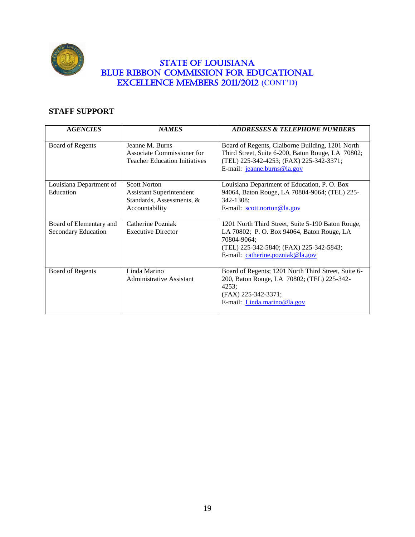

## **STAFF SUPPORT**

| <b>AGENCIES</b>                                | <b>NAMES</b>                                                                                          | <b>ADDRESSES &amp; TELEPHONE NUMBERS</b>                                                                                                                                                      |  |
|------------------------------------------------|-------------------------------------------------------------------------------------------------------|-----------------------------------------------------------------------------------------------------------------------------------------------------------------------------------------------|--|
| Board of Regents                               | Jeanne M. Burns<br>Associate Commissioner for<br><b>Teacher Education Initiatives</b>                 | Board of Regents, Claiborne Building, 1201 North<br>Third Street, Suite 6-200, Baton Rouge, LA 70802;<br>(TEL) 225-342-4253; (FAX) 225-342-3371;<br>E-mail: jeanne.burns@la.gov               |  |
| Louisiana Department of<br>Education           | <b>Scott Norton</b><br><b>Assistant Superintendent</b><br>Standards, Assessments, &<br>Accountability | Louisiana Department of Education, P. O. Box<br>94064, Baton Rouge, LA 70804-9064; (TEL) 225-<br>342-1308;<br>E-mail: scott.norton@la.gov                                                     |  |
| Board of Elementary and<br>Secondary Education | Catherine Pozniak<br><b>Executive Director</b>                                                        | 1201 North Third Street, Suite 5-190 Baton Rouge,<br>LA 70802; P. O. Box 94064, Baton Rouge, LA<br>70804-9064:<br>(TEL) 225-342-5840; (FAX) 225-342-5843;<br>E-mail: catherine.pozniak@la.gov |  |
| Board of Regents                               | Linda Marino<br><b>Administrative Assistant</b>                                                       | Board of Regents; 1201 North Third Street, Suite 6-<br>200, Baton Rouge, LA 70802; (TEL) 225-342-<br>4253;<br>(FAX) 225-342-3371;<br>E-mail: Linda.marino@la.gov                              |  |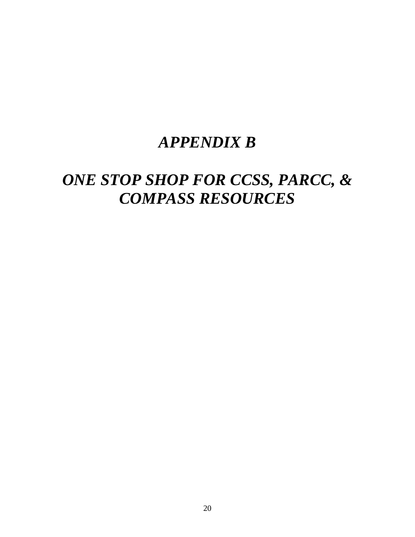## *APPENDIX B*

## *ONE STOP SHOP FOR CCSS, PARCC, & COMPASS RESOURCES*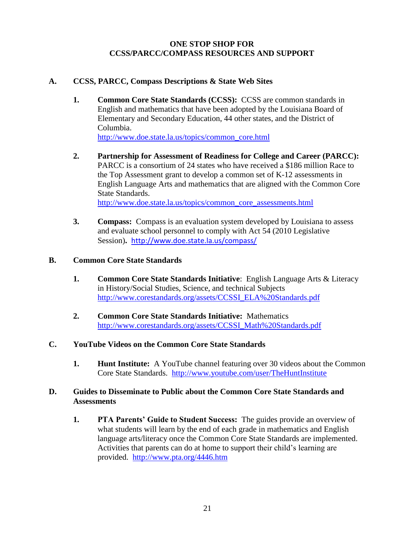### **ONE STOP SHOP FOR CCSS/PARCC/COMPASS RESOURCES AND SUPPORT**

## **A. CCSS, PARCC, Compass Descriptions & State Web Sites**

**1. Common Core State Standards (CCSS):** CCSS are common standards in English and mathematics that have been adopted by the Louisiana Board of Elementary and Secondary Education, 44 other states, and the District of Columbia.

[http://www.doe.state.la.us/topics/common\\_core.html](http://www.doe.state.la.us/topics/common_core.html)

- **2. Partnership for Assessment of Readiness for College and Career (PARCC):**  PARCC is a consortium of 24 states who have received a \$186 million Race to the Top Assessment grant to develop a common set of K-12 assessments in English Language Arts and mathematics that are aligned with the Common Core State Standards. [http://www.doe.state.la.us/topics/common\\_core\\_assessments.html](http://www.doe.state.la.us/topics/common_core_assessments.html)
- **3. Compass:** Compass is an evaluation system developed by Louisiana to assess and evaluate school personnel to comply with Act 54 (2010 Legislative Session)**.** <http://www.doe.state.la.us/compass/>

### **B. Common Core State Standards**

- **1. Common Core State Standards Initiative**: English Language Arts & Literacy in History/Social Studies, Science, and technical Subjects [http://www.corestandards.org/assets/CCSSI\\_ELA%20Standards.pdf](http://www.corestandards.org/assets/CCSSI_ELA%20Standards.pdf)
- **2. Common Core State Standards Initiative:** Mathematics [http://www.corestandards.org/assets/CCSSI\\_Math%20Standards.pdf](http://www.corestandards.org/assets/CCSSI_Math%20Standards.pdf)

### **C. YouTube Videos on the Common Core State Standards**

**1. Hunt Institute:** A YouTube channel featuring over 30 videos about the Common Core State Standards. <http://www.youtube.com/user/TheHuntInstitute>

## **D. Guides to Disseminate to Public about the Common Core State Standards and Assessments**

**1. PTA Parents' Guide to Student Success:** The guides provide an overview of what students will learn by the end of each grade in mathematics and English language arts/literacy once the Common Core State Standards are implemented. Activities that parents can do at home to support their child's learning are provided. <http://www.pta.org/4446.htm>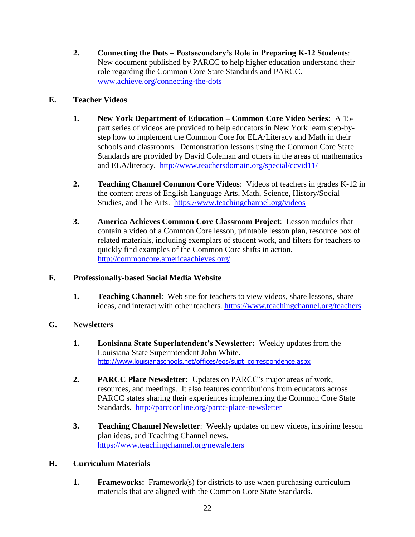**2. Connecting the Dots – Postsecondary's Role in Preparing K-12 Students**: New document published by PARCC to help higher education understand their role regarding the Common Core State Standards and PARCC. [www.achieve.org/connecting-the-dots](https://mailfe.mail.la.gov/owa/redir.aspx?C=6f893ca6749243bd9c0e314a2e750450&URL=http%3a%2f%2fwww.achieve.org%2fconnecting-the-dots)

## **E. Teacher Videos**

- **1. New York Department of Education – Common Core Video Series:** A 15 part series of videos are provided to help educators in New York learn step-bystep how to implement the Common Core for ELA/Literacy and Math in their schools and classrooms. Demonstration lessons using the Common Core State Standards are provided by David Coleman and others in the areas of mathematics and ELA/literacy. <http://www.teachersdomain.org/special/ccvid11/>
- **2. Teaching Channel Common Core Videos**: Videos of teachers in grades K-12 in the content areas of English Language Arts, Math, Science, History/Social Studies, and The Arts. <https://www.teachingchannel.org/videos>
- **3. America Achieves Common Core Classroom Project**: Lesson modules that contain a video of a Common Core lesson, printable lesson plan, resource box of related materials, including exemplars of student work, and filters for teachers to quickly find examples of the Common Core shifts in action. <http://commoncore.americaachieves.org/>

## **F. Professionally-based Social Media Website**

**1. Teaching Channel**: Web site for teachers to view videos, share lessons, share ideas, and interact with other teachers.<https://www.teachingchannel.org/teachers>

## **G. Newsletters**

- **1. Louisiana State Superintendent's Newsletter:** Weekly updates from the Louisiana State Superintendent John White. [http://www.louisianaschools.net/offices/eos/supt\\_correspondence.aspx](http://www.louisianaschools.net/offices/eos/supt_correspondence.aspx)
- **2. PARCC Place Newsletter:** Updates on PARCC's major areas of work, resources, and meetings. It also features contributions from educators across PARCC states sharing their experiences implementing the Common Core State Standards. <http://parcconline.org/parcc-place-newsletter>
- **3. Teaching Channel Newsletter**: Weekly updates on new videos, inspiring lesson plan ideas, and Teaching Channel news. <https://www.teachingchannel.org/newsletters>

## **H. Curriculum Materials**

**1. Frameworks:** Framework(s) for districts to use when purchasing curriculum materials that are aligned with the Common Core State Standards.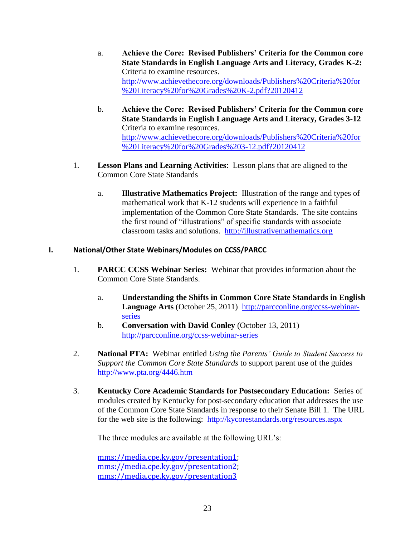- a. **Achieve the Core: Revised Publishers' Criteria for the Common core State Standards in English Language Arts and Literacy, Grades K-2:**  Criteria to examine resources. [http://www.achievethecore.org/downloads/Publishers%20Criteria%20for](http://www.achievethecore.org/downloads/Publishers%20Criteria%20for%20Literacy%20for%20Grades%20K-2.pdf?20120412) [%20Literacy%20for%20Grades%20K-2.pdf?20120412](http://www.achievethecore.org/downloads/Publishers%20Criteria%20for%20Literacy%20for%20Grades%20K-2.pdf?20120412)
- b. **Achieve the Core: Revised Publishers' Criteria for the Common core State Standards in English Language Arts and Literacy, Grades 3-12** Criteria to examine resources. [http://www.achievethecore.org/downloads/Publishers%20Criteria%20for](http://www.achievethecore.org/downloads/Publishers%20Criteria%20for%20Literacy%20for%20Grades%203-12.pdf?20120412) [%20Literacy%20for%20Grades%203-12.pdf?20120412](http://www.achievethecore.org/downloads/Publishers%20Criteria%20for%20Literacy%20for%20Grades%203-12.pdf?20120412)
- 1. **Lesson Plans and Learning Activities**: Lesson plans that are aligned to the Common Core State Standards
	- a. **Illustrative Mathematics Project:** Illustration of the range and types of mathematical work that K-12 students will experience in a faithful implementation of the Common Core State Standards. The site contains the first round of "illustrations" of specific standards with associate classroom tasks and solutions. [http://illustrativemathematics.org](http://illustrativemathematics.org/)

## **I. National/Other State Webinars/Modules on CCSS/PARCC**

- 1. **PARCC CCSS Webinar Series:** Webinar that provides information about the Common Core State Standards.
	- a. **Understanding the Shifts in Common Core State Standards in English**  Language Arts (October 25, 2011) [http://parcconline.org/ccss-webinar](http://parcconline.org/ccss-webinar-series)[series](http://parcconline.org/ccss-webinar-series)
	- b. **Conversation with David Conley** (October 13, 2011) [http://parcconline.org/ccss-webinar-series](http://parcconline.org/ccss-webinar-%09series)
- 2. **National PTA:** Webinar entitled *Using the Parents' Guide to Student Success to Support the Common Core State Standards* to support parent use of the guides <http://www.pta.org/4446.htm>
- 3. **Kentucky Core Academic Standards for Postsecondary Education:** Series of modules created by Kentucky for post-secondary education that addresses the use of the Common Core State Standards in response to their Senate Bill 1. The URL for the web site is the following: <http://kycorestandards.org/resources.aspx>

The three modules are available at the following URL's:

[mms://media.cpe.ky.gov/presentation1;](mms://media.cpe.ky.gov/presentation1) [mms://media.cpe.ky.gov/presentation2;](mms://media.cpe.ky.gov/presentation2) <mms://media.cpe.ky.gov/presentation3>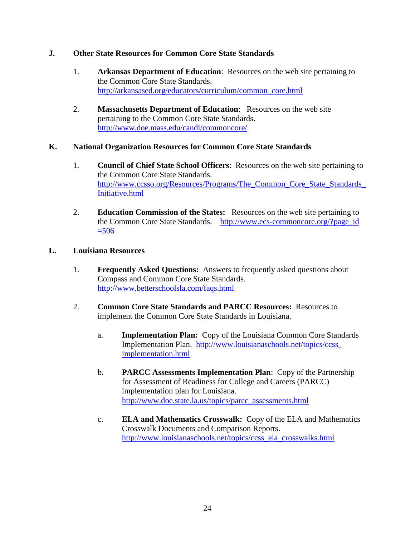## **J. Other State Resources for Common Core State Standards**

- 1. **Arkansas Department of Education**: Resources on the web site pertaining to the Common Core State Standards. [http://arkansased.org/educators/curriculum/common\\_core.html](http://arkansased.org/educators/curriculum/common_core.html)
- 2. **Massachusetts Department of Education**: Resources on the web site pertaining to the Common Core State Standards. <http://www.doe.mass.edu/candi/commoncore/>

## **K. National Organization Resources for Common Core State Standards**

- 1. **Council of Chief State School Officers**: Resources on the web site pertaining to the Common Core State Standards. http://www.ccsso.org/Resources/Programs/The\_Common\_Core\_State\_Standards [Initiative.html](http://www.ccsso.org/Resources/Programs/The_Common_Core_State_Standards_Initiative.html)
- 2. **Education Commission of the States:** Resources on the web site pertaining to the Common Core State Standards. [http://www.ecs-commoncore.org/?page\\_id](http://www.ecs-commoncore.org/?page_id)  $=506$

### **L. Louisiana Resources**

- 1. **Frequently Asked Questions:** Answers to frequently asked questions about Compass and Common Core State Standards. <http://www.betterschoolsla.com/faqs.html>
- 2. **Common Core State Standards and PARCC Resources:** Resources to implement the Common Core State Standards in Louisiana.
	- a. **Implementation Plan:** Copy of the Louisiana Common Core Standards Implementation Plan. [http://www.louisianaschools.net/topics/ccss\\_](http://www.louisianaschools.net/topics/ccss_%20implementation.html)  [implementation.html](http://www.louisianaschools.net/topics/ccss_%20implementation.html)
	- b. **PARCC Assessments Implementation Plan**: Copy of the Partnership for Assessment of Readiness for College and Careers (PARCC) implementation plan for Louisiana. [http://www.doe.state.la.us/topics/parcc\\_assessments.html](http://www.doe.state.la.us/topics/parcc_assessments.html)
	- c. **ELA and Mathematics Crosswalk:** Copy of the ELA and Mathematics Crosswalk Documents and Comparison Reports. [http://www.louisianaschools.net/topics/ccss\\_ela\\_crosswalks.html](http://www.louisianaschools.net/topics/ccss_ela_crosswalks.html)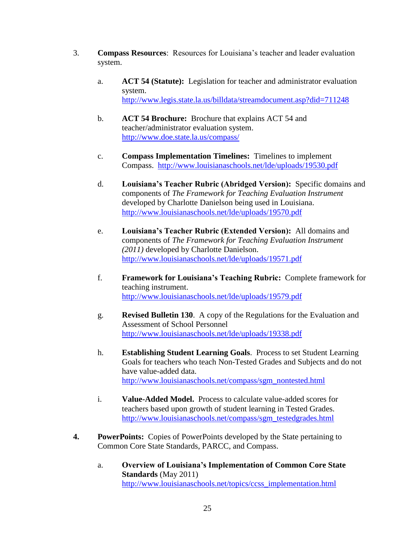- 3. **Compass Resources**: Resources for Louisiana's teacher and leader evaluation system.
	- a. **ACT 54 (Statute):** Legislation for teacher and administrator evaluation system. <http://www.legis.state.la.us/billdata/streamdocument.asp?did=711248>
	- b. **ACT 54 Brochure:** Brochure that explains ACT 54 and teacher/administrator evaluation system. <http://www.doe.state.la.us/compass/>
	- c. **Compass Implementation Timelines:** Timelines to implement Compass. <http://www.louisianaschools.net/lde/uploads/19530.pdf>
	- d. **Louisiana's Teacher Rubric (Abridged Version):** Specific domains and components of *The Framework for Teaching Evaluation Instrument* developed by Charlotte Danielson being used in Louisiana. <http://www.louisianaschools.net/lde/uploads/19570.pdf>
	- e. **Louisiana's Teacher Rubric (Extended Version):** All domains and components of *The Framework for Teaching Evaluation Instrument (2011)* developed by Charlotte Danielson. <http://www.louisianaschools.net/lde/uploads/19571.pdf>
	- f. **Framework for Louisiana's Teaching Rubric:** Complete framework for teaching instrument. <http://www.louisianaschools.net/lde/uploads/19579.pdf>
	- g. **Revised Bulletin 130**. A copy of the Regulations for the Evaluation and Assessment of School Personnel <http://www.louisianaschools.net/lde/uploads/19338.pdf>
	- h. **Establishing Student Learning Goals**. Process to set Student Learning Goals for teachers who teach Non-Tested Grades and Subjects and do not have value-added data. [http://www.louisianaschools.net/compass/sgm\\_nontested.html](http://www.louisianaschools.net/compass/sgm_nontested.html)
	- i. **Value-Added Model.** Process to calculate value-added scores for teachers based upon growth of student learning in Tested Grades. [http://www.louisianaschools.net/compass/sgm\\_testedgrades.html](http://www.louisianaschools.net/compass/sgm_testedgrades.html)
- **4. PowerPoints:** Copies of PowerPoints developed by the State pertaining to Common Core State Standards, PARCC, and Compass.
	- a. **Overview of Louisiana's Implementation of Common Core State Standards** (May 2011) [http://www.louisianaschools.net/topics/ccss\\_implementation.html](http://www.louisianaschools.net/topics/ccss_implementation.html)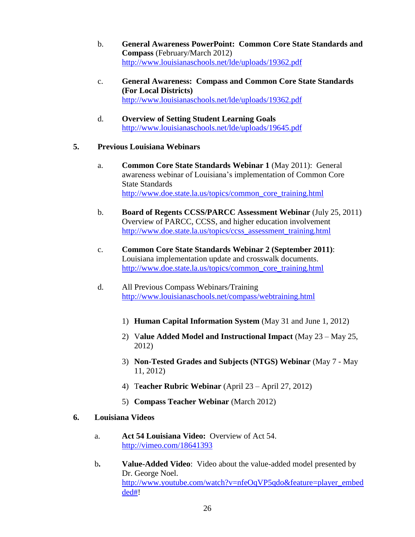- b. **General Awareness PowerPoint: Common Core State Standards and Compass** (February/March 2012) <http://www.louisianaschools.net/lde/uploads/19362.pdf>
- c. **General Awareness: Compass and Common Core State Standards (For Local Districts)**  <http://www.louisianaschools.net/lde/uploads/19362.pdf>
- d. **Overview of Setting Student Learning Goals** <http://www.louisianaschools.net/lde/uploads/19645.pdf>

## **5. Previous Louisiana Webinars**

- a. **Common Core State Standards Webinar 1** (May 2011): General awareness webinar of Louisiana's implementation of Common Core State Standards [http://www.doe.state.la.us/topics/common\\_core\\_training.html](http://www.doe.state.la.us/topics/common_core_training.html)
- b. **Board of Regents CCSS/PARCC Assessment Webinar** (July 25, 2011) Overview of PARCC, CCSS, and higher education involvement [http://www.doe.state.la.us/topics/ccss\\_assessment\\_training.html](http://www.doe.state.la.us/topics/ccss_assessment_training.html)
- c. **Common Core State Standards Webinar 2 (September 2011)**: Louisiana implementation update and crosswalk documents. [http://www.doe.state.la.us/topics/common\\_core\\_training.html](http://www.doe.state.la.us/topics/common_core_training.html)
- d. All Previous Compass Webinars/Training <http://www.louisianaschools.net/compass/webtraining.html>
	- 1) **[Human Capital Information System](http://media.louisianaschools.net/webinars/compass/hcis0512.html)** (May 31 and June 1, 2012)
	- 2) V**[alue Added Model and Instructional Impact](http://media.louisianaschools.net/webinars/compass/vam052512.html)** (May 23 May 25, 2012)
	- 3) **Non-Tested Grades [and Subjects \(NTGS\) Webinar](https://ldoe.uc.att.com/la/iSeminar/PY4960/)** (May 7 May 11, 2012)
	- 4) T**[eacher Rubric Webinar](https://ldoe.uc.att.com/la/iMeeting/TM2602/)** (April 23 April 27, 2012)
	- 5) **[Compass Teacher Webinar](https://ldoe.uc.att.com/la/iMeeting/TJ6981/)** (March 2012)

## **6. Louisiana Videos**

- a. **Act 54 Louisiana Video:** Overview of Act 54. <http://vimeo.com/18641393>
- b**. Value-Added Video**: Video about the value-added model presented by Dr. George Noel. [http://www.youtube.com/watch?v=nfeOqVP5qdo&feature=player\\_embed](http://www.youtube.com/watch?v=nfeOqVP5qdo&feature=player_embedded) [ded#!](http://www.youtube.com/watch?v=nfeOqVP5qdo&feature=player_embedded)